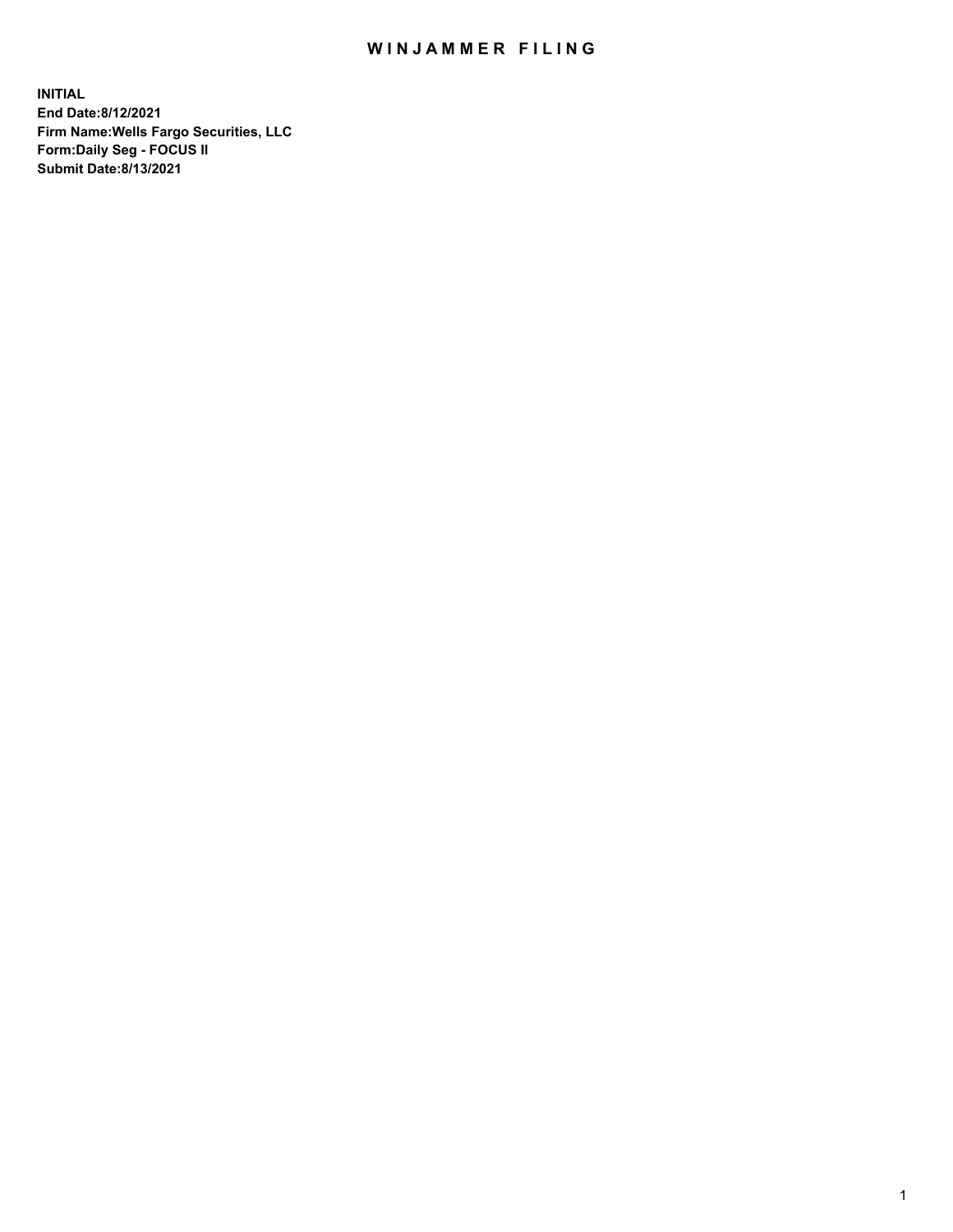## WIN JAMMER FILING

**INITIAL End Date:8/12/2021 Firm Name:Wells Fargo Securities, LLC Form:Daily Seg - FOCUS II Submit Date:8/13/2021**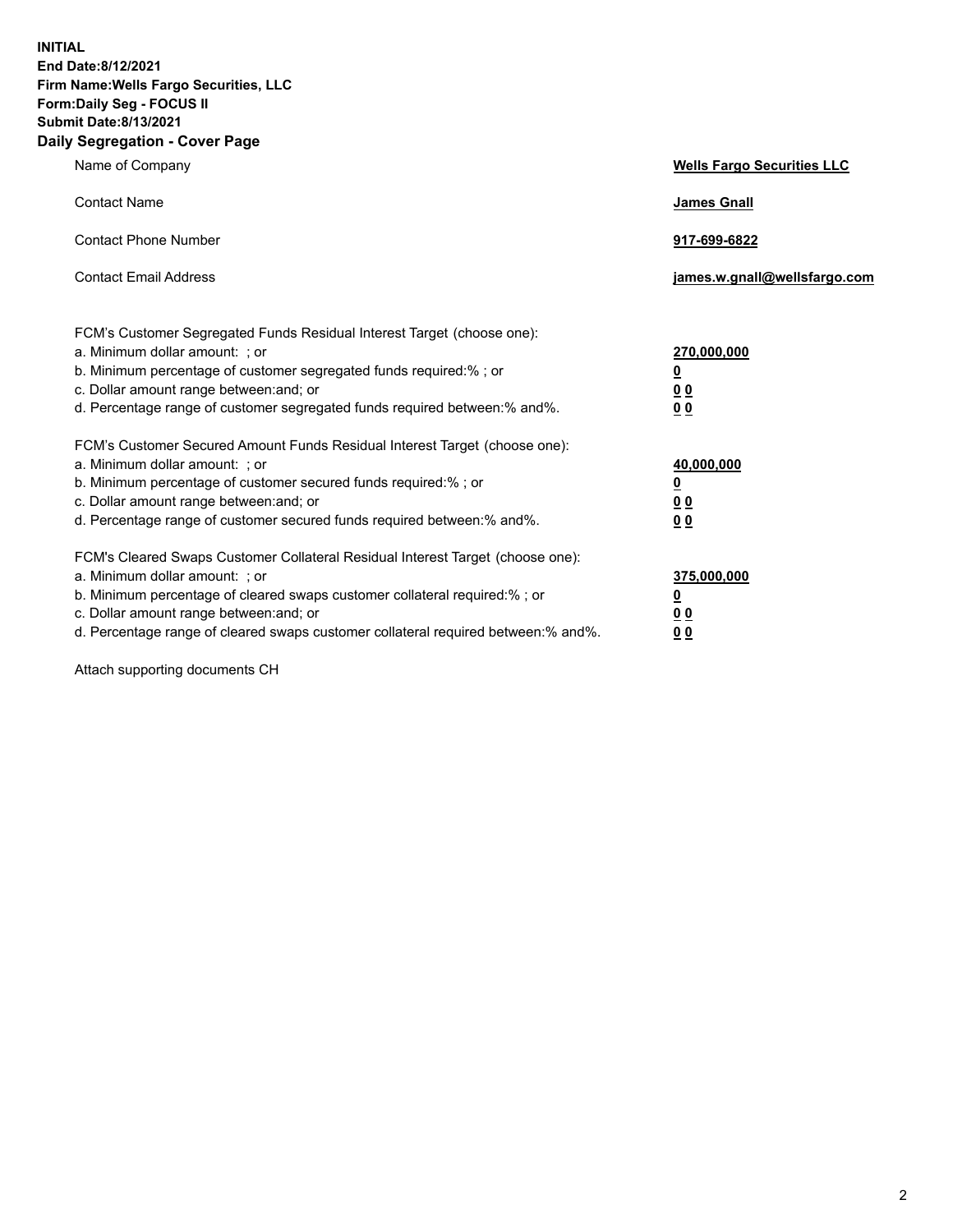**INITIAL End Date:8/12/2021 Firm Name:Wells Fargo Securities, LLC Form:Daily Seg - FOCUS II Submit Date:8/13/2021 Daily Segregation - Cover Page**

| Name of Company                                                                                                                                                                                                                                                                                                                | <b>Wells Fargo Securities LLC</b>                                          |
|--------------------------------------------------------------------------------------------------------------------------------------------------------------------------------------------------------------------------------------------------------------------------------------------------------------------------------|----------------------------------------------------------------------------|
| <b>Contact Name</b>                                                                                                                                                                                                                                                                                                            | <b>James Gnall</b>                                                         |
| <b>Contact Phone Number</b>                                                                                                                                                                                                                                                                                                    | 917-699-6822                                                               |
| <b>Contact Email Address</b>                                                                                                                                                                                                                                                                                                   | james.w.gnall@wellsfargo.com                                               |
| FCM's Customer Segregated Funds Residual Interest Target (choose one):<br>a. Minimum dollar amount: ; or<br>b. Minimum percentage of customer segregated funds required:% ; or<br>c. Dollar amount range between: and; or<br>d. Percentage range of customer segregated funds required between:% and%.                         | 270,000,000<br>$\underline{\mathbf{0}}$<br>00<br>00                        |
| FCM's Customer Secured Amount Funds Residual Interest Target (choose one):<br>a. Minimum dollar amount: ; or<br>b. Minimum percentage of customer secured funds required:%; or<br>c. Dollar amount range between: and; or<br>d. Percentage range of customer secured funds required between: % and %.                          | 40,000,000<br>$\underline{\mathbf{0}}$<br>0 <sub>0</sub><br>0 <sub>0</sub> |
| FCM's Cleared Swaps Customer Collateral Residual Interest Target (choose one):<br>a. Minimum dollar amount: ; or<br>b. Minimum percentage of cleared swaps customer collateral required:% ; or<br>c. Dollar amount range between: and; or<br>d. Percentage range of cleared swaps customer collateral required between:% and%. | 375,000,000<br><u>0</u><br>00<br><u>00</u>                                 |

Attach supporting documents CH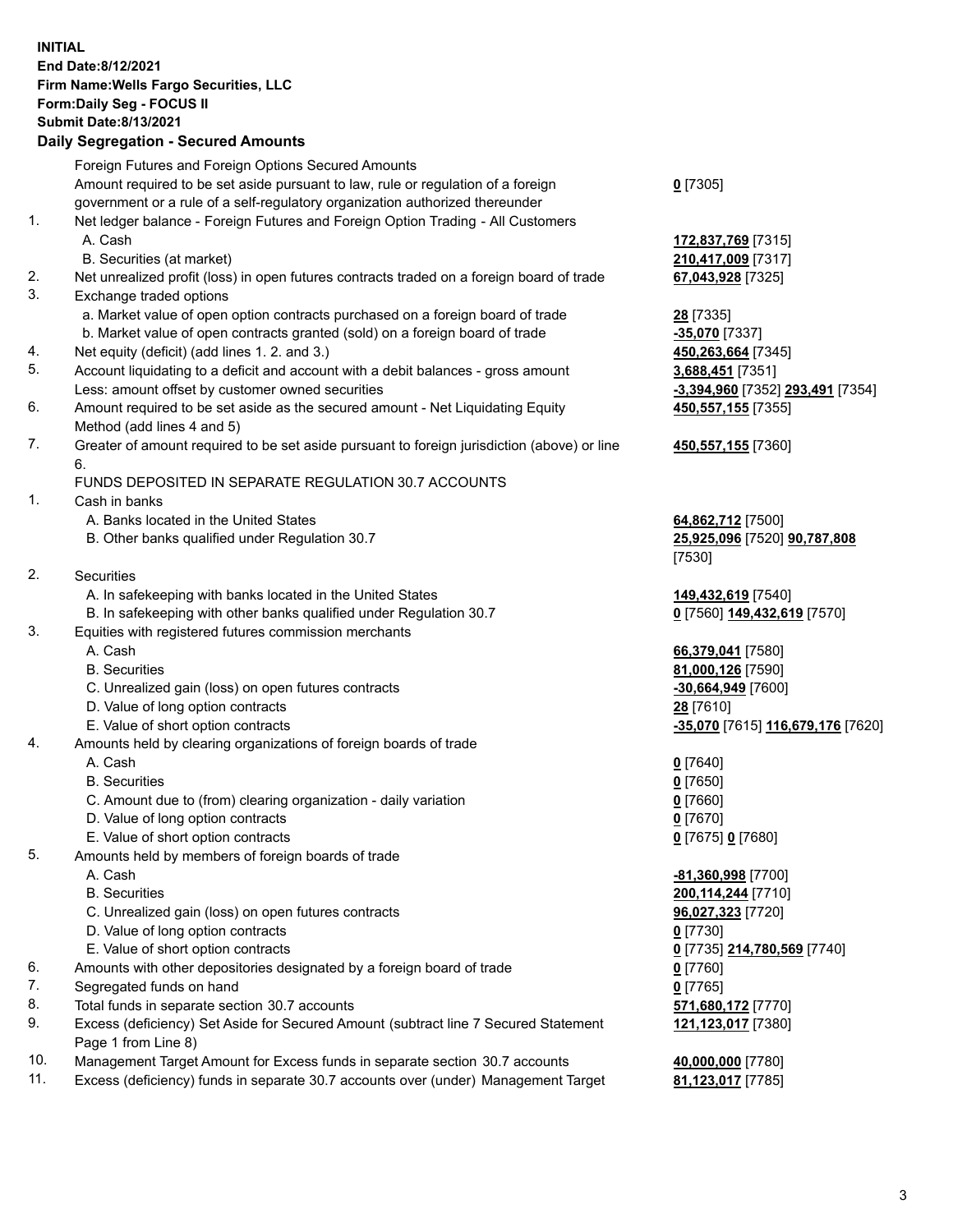**INITIAL End Date:8/12/2021 Firm Name:Wells Fargo Securities, LLC Form:Daily Seg - FOCUS II Submit Date:8/13/2021**

## **Daily Segregation - Secured Amounts**

|    | Foreign Futures and Foreign Options Secured Amounts                                         |                                   |
|----|---------------------------------------------------------------------------------------------|-----------------------------------|
|    | Amount required to be set aside pursuant to law, rule or regulation of a foreign            | $0$ [7305]                        |
|    | government or a rule of a self-regulatory organization authorized thereunder                |                                   |
| 1. | Net ledger balance - Foreign Futures and Foreign Option Trading - All Customers             |                                   |
|    | A. Cash                                                                                     | 172,837,769 [7315]                |
|    | B. Securities (at market)                                                                   | 210,417,009 [7317]                |
| 2. | Net unrealized profit (loss) in open futures contracts traded on a foreign board of trade   | 67,043,928 [7325]                 |
| 3. | Exchange traded options                                                                     |                                   |
|    | a. Market value of open option contracts purchased on a foreign board of trade              | <b>28</b> [7335]                  |
|    | b. Market value of open contracts granted (sold) on a foreign board of trade                | -35,070 [7337]                    |
| 4. | Net equity (deficit) (add lines 1. 2. and 3.)                                               | 450,263,664 [7345]                |
| 5. | Account liquidating to a deficit and account with a debit balances - gross amount           | 3,688,451 [7351]                  |
|    | Less: amount offset by customer owned securities                                            | -3,394,960 [7352] 293,491 [7354]  |
| 6. | Amount required to be set aside as the secured amount - Net Liquidating Equity              | 450, 557, 155 [7355]              |
|    | Method (add lines 4 and 5)                                                                  |                                   |
| 7. | Greater of amount required to be set aside pursuant to foreign jurisdiction (above) or line | 450,557,155 [7360]                |
|    | 6.                                                                                          |                                   |
|    | FUNDS DEPOSITED IN SEPARATE REGULATION 30.7 ACCOUNTS                                        |                                   |
| 1. | Cash in banks                                                                               |                                   |
|    | A. Banks located in the United States                                                       | 64,862,712 [7500]                 |
|    | B. Other banks qualified under Regulation 30.7                                              | 25,925,096 [7520] 90,787,808      |
|    |                                                                                             | [7530]                            |
| 2. | Securities                                                                                  |                                   |
|    | A. In safekeeping with banks located in the United States                                   | 149,432,619 [7540]                |
|    | B. In safekeeping with other banks qualified under Regulation 30.7                          | 0 [7560] 149,432,619 [7570]       |
| 3. | Equities with registered futures commission merchants                                       |                                   |
|    | A. Cash                                                                                     | 66,379,041 [7580]                 |
|    | <b>B.</b> Securities                                                                        | 81,000,126 [7590]                 |
|    | C. Unrealized gain (loss) on open futures contracts                                         | $-30,664,949$ [7600]              |
|    | D. Value of long option contracts                                                           | 28 [7610]                         |
|    | E. Value of short option contracts                                                          | -35,070 [7615] 116,679,176 [7620] |
| 4. | Amounts held by clearing organizations of foreign boards of trade                           |                                   |
|    | A. Cash                                                                                     | $0$ [7640]                        |
|    | <b>B.</b> Securities                                                                        | $0$ [7650]                        |
|    | C. Amount due to (from) clearing organization - daily variation                             | $0$ [7660]                        |
|    | D. Value of long option contracts                                                           | $0$ [7670]                        |
|    | E. Value of short option contracts                                                          | 0 [7675] 0 [7680]                 |
| 5. | Amounts held by members of foreign boards of trade                                          |                                   |
|    | A. Cash                                                                                     | -81,360,998 [7700]                |
|    | <b>B.</b> Securities                                                                        | 200, 114, 244 [7710]              |
|    | C. Unrealized gain (loss) on open futures contracts                                         | 96,027,323 [7720]                 |
|    | D. Value of long option contracts                                                           | $0$ [7730]                        |
|    | E. Value of short option contracts                                                          | 0 [7735] 214,780,569 [7740]       |
| 6. | Amounts with other depositories designated by a foreign board of trade                      | $0$ [7760]                        |
| 7. | Segregated funds on hand                                                                    | $0$ [7765]                        |
| 8. | Total funds in separate section 30.7 accounts                                               | 571,680,172 [7770]                |
| 9. | Excess (deficiency) Set Aside for Secured Amount (subtract line 7 Secured Statement         | 121,123,017 [7380]                |
|    | Page 1 from Line 8)                                                                         |                                   |
|    |                                                                                             |                                   |

- 10. Management Target Amount for Excess funds in separate section 30.7 accounts **40,000,000** [7780]
- 11. Excess (deficiency) funds in separate 30.7 accounts over (under) Management Target **81,123,017** [7785]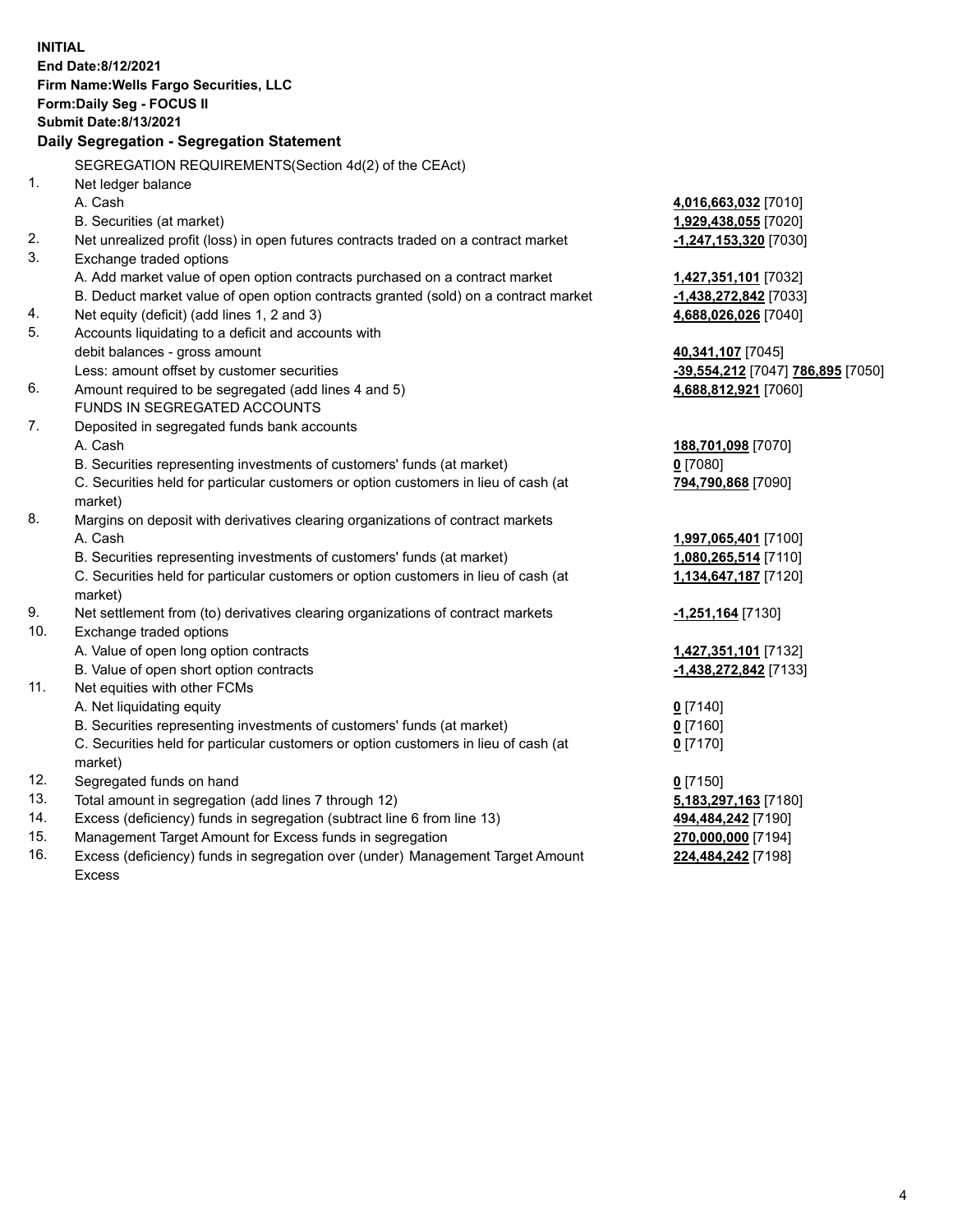**INITIAL End Date:8/12/2021 Firm Name:Wells Fargo Securities, LLC Form:Daily Seg - FOCUS II Submit Date:8/13/2021 Daily Segregation - Segregation Statement** SEGREGATION REQUIREMENTS(Section 4d(2) of the CEAct) 1. Net ledger balance A. Cash **4,016,663,032** [7010] B. Securities (at market) **1,929,438,055** [7020] 2. Net unrealized profit (loss) in open futures contracts traded on a contract market **-1,247,153,320** [7030] 3. Exchange traded options A. Add market value of open option contracts purchased on a contract market **1,427,351,101** [7032] B. Deduct market value of open option contracts granted (sold) on a contract market **-1,438,272,842** [7033] 4. Net equity (deficit) (add lines 1, 2 and 3) **4,688,026,026** [7040] 5. Accounts liquidating to a deficit and accounts with debit balances - gross amount **40,341,107** [7045] Less: amount offset by customer securities **-39,554,212** [7047] **786,895** [7050] 6. Amount required to be segregated (add lines 4 and 5) **4,688,812,921** [7060] FUNDS IN SEGREGATED ACCOUNTS 7. Deposited in segregated funds bank accounts A. Cash **188,701,098** [7070] B. Securities representing investments of customers' funds (at market) **0** [7080] C. Securities held for particular customers or option customers in lieu of cash (at market) **794,790,868** [7090] 8. Margins on deposit with derivatives clearing organizations of contract markets A. Cash **1,997,065,401** [7100] B. Securities representing investments of customers' funds (at market) **1,080,265,514** [7110] C. Securities held for particular customers or option customers in lieu of cash (at market) **1,134,647,187** [7120] 9. Net settlement from (to) derivatives clearing organizations of contract markets **-1,251,164** [7130] 10. Exchange traded options A. Value of open long option contracts **1,427,351,101** [7132] B. Value of open short option contracts **-1,438,272,842** [7133] 11. Net equities with other FCMs A. Net liquidating equity **0** [7140] B. Securities representing investments of customers' funds (at market) **0** [7160] C. Securities held for particular customers or option customers in lieu of cash (at market) **0** [7170] 12. Segregated funds on hand **0** [7150] 13. Total amount in segregation (add lines 7 through 12) **5,183,297,163** [7180] 14. Excess (deficiency) funds in segregation (subtract line 6 from line 13) **494,484,242** [7190] 15. Management Target Amount for Excess funds in segregation **270,000,000** [7194] **224,484,242** [7198]

16. Excess (deficiency) funds in segregation over (under) Management Target Amount Excess